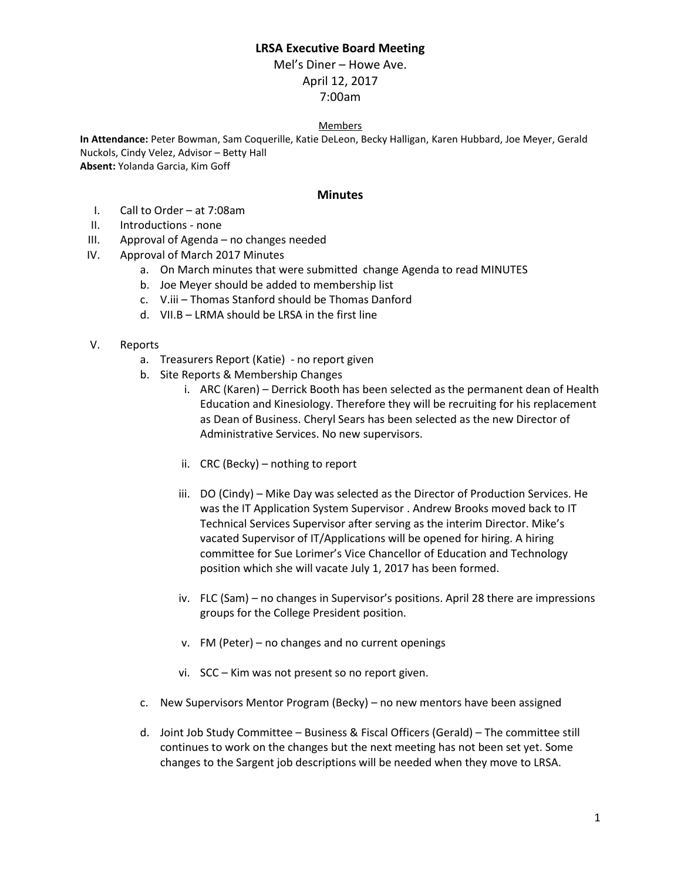# **LRSA Executive Board Meeting**

Mel's Diner – Howe Ave. April 12, 2017 7:00am

#### Members

**In Attendance:** Peter Bowman, Sam Coquerille, Katie DeLeon, Becky Halligan, Karen Hubbard, Joe Meyer, Gerald Nuckols, Cindy Velez, Advisor – Betty Hall **Absent:** Yolanda Garcia, Kim Goff

#### **Minutes**

- I. Call to Order at 7:08am
- II. Introductions none
- III. Approval of Agenda no changes needed
- IV. Approval of March 2017 Minutes
	- a. On March minutes that were submitted change Agenda to read MINUTES
	- b. Joe Meyer should be added to membership list
	- c. V.iii Thomas Stanford should be Thomas Danford
	- d. VII.B LRMA should be LRSA in the first line
- V. Reports
	- a. Treasurers Report (Katie) no report given
	- b. Site Reports & Membership Changes
		- i. ARC (Karen) Derrick Booth has been selected as the permanent dean of Health Education and Kinesiology. Therefore they will be recruiting for his replacement as Dean of Business. Cheryl Sears has been selected as the new Director of Administrative Services. No new supervisors.
		- ii. CRC (Becky) nothing to report
		- iii. DO (Cindy) Mike Day was selected as the Director of Production Services. He was the IT Application System Supervisor . Andrew Brooks moved back to IT Technical Services Supervisor after serving as the interim Director. Mike's vacated Supervisor of IT/Applications will be opened for hiring. A hiring committee for Sue Lorimer's Vice Chancellor of Education and Technology position which she will vacate July 1, 2017 has been formed.
		- iv. FLC (Sam) no changes in Supervisor's positions. April 28 there are impressions groups for the College President position.
		- v. FM (Peter) no changes and no current openings
		- vi. SCC Kim was not present so no report given.
	- c. New Supervisors Mentor Program (Becky) no new mentors have been assigned
	- d. Joint Job Study Committee Business & Fiscal Officers (Gerald) The committee still continues to work on the changes but the next meeting has not been set yet. Some changes to the Sargent job descriptions will be needed when they move to LRSA.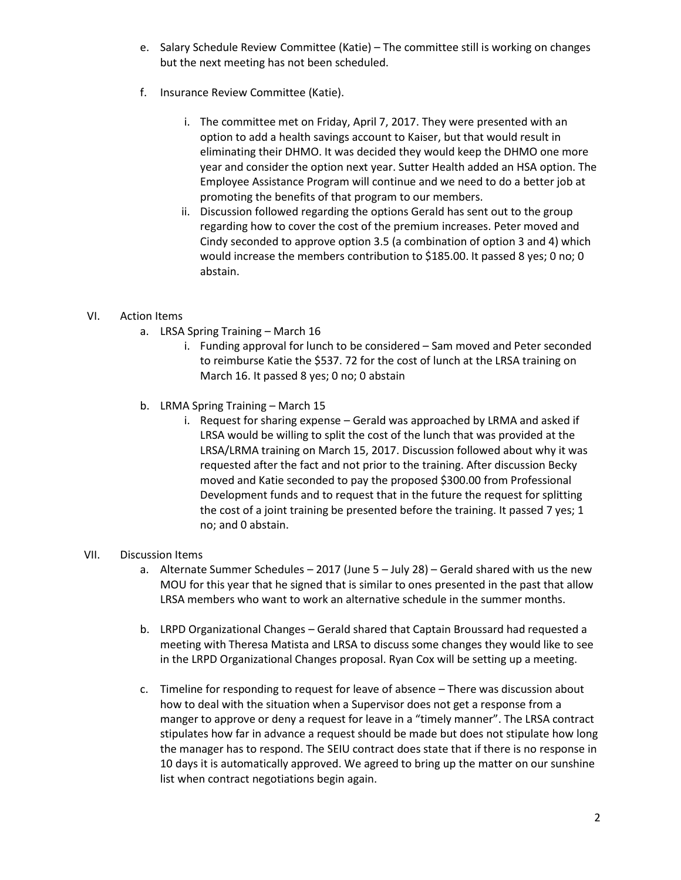- e. Salary Schedule Review Committee (Katie) The committee still is working on changes but the next meeting has not been scheduled.
- f. Insurance Review Committee (Katie).
	- i. The committee met on Friday, April 7, 2017. They were presented with an option to add a health savings account to Kaiser, but that would result in eliminating their DHMO. It was decided they would keep the DHMO one more year and consider the option next year. Sutter Health added an HSA option. The Employee Assistance Program will continue and we need to do a better job at promoting the benefits of that program to our members.
	- ii. Discussion followed regarding the options Gerald has sent out to the group regarding how to cover the cost of the premium increases. Peter moved and Cindy seconded to approve option 3.5 (a combination of option 3 and 4) which would increase the members contribution to \$185.00. It passed 8 yes; 0 no; 0 abstain.

# VI. Action Items

- a. LRSA Spring Training March 16
	- i. Funding approval for lunch to be considered Sam moved and Peter seconded to reimburse Katie the \$537. 72 for the cost of lunch at the LRSA training on March 16. It passed 8 yes; 0 no; 0 abstain
- b. LRMA Spring Training March 15
	- i. Request for sharing expense Gerald was approached by LRMA and asked if LRSA would be willing to split the cost of the lunch that was provided at the LRSA/LRMA training on March 15, 2017. Discussion followed about why it was requested after the fact and not prior to the training. After discussion Becky moved and Katie seconded to pay the proposed \$300.00 from Professional Development funds and to request that in the future the request for splitting the cost of a joint training be presented before the training. It passed 7 yes; 1 no; and 0 abstain.

### VII. Discussion Items

- a. Alternate Summer Schedules 2017 (June 5 July 28) Gerald shared with us the new MOU for this year that he signed that is similar to ones presented in the past that allow LRSA members who want to work an alternative schedule in the summer months.
- b. LRPD Organizational Changes Gerald shared that Captain Broussard had requested a meeting with Theresa Matista and LRSA to discuss some changes they would like to see in the LRPD Organizational Changes proposal. Ryan Cox will be setting up a meeting.
- c. Timeline for responding to request for leave of absence There was discussion about how to deal with the situation when a Supervisor does not get a response from a manger to approve or deny a request for leave in a "timely manner". The LRSA contract stipulates how far in advance a request should be made but does not stipulate how long the manager has to respond. The SEIU contract does state that if there is no response in 10 days it is automatically approved. We agreed to bring up the matter on our sunshine list when contract negotiations begin again.